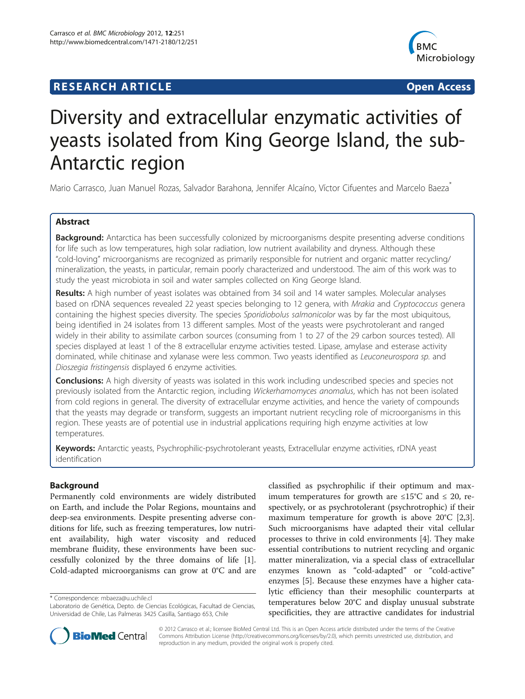## **RESEARCH ARTICLE Example 2018 12:00 Department of the CONNECTION CONNECTION CONNECTION CONNECTION**



# Diversity and extracellular enzymatic activities of yeasts isolated from King George Island, the sub-Antarctic region

Mario Carrasco, Juan Manuel Rozas, Salvador Barahona, Jennifer Alcaíno, Víctor Cifuentes and Marcelo Baeza<sup>\*</sup>

## Abstract

Background: Antarctica has been successfully colonized by microorganisms despite presenting adverse conditions for life such as low temperatures, high solar radiation, low nutrient availability and dryness. Although these "cold-loving" microorganisms are recognized as primarily responsible for nutrient and organic matter recycling/ mineralization, the yeasts, in particular, remain poorly characterized and understood. The aim of this work was to study the yeast microbiota in soil and water samples collected on King George Island.

Results: A high number of yeast isolates was obtained from 34 soil and 14 water samples. Molecular analyses based on rDNA sequences revealed 22 yeast species belonging to 12 genera, with Mrakia and Cryptococcus genera containing the highest species diversity. The species Sporidiobolus salmonicolor was by far the most ubiquitous, being identified in 24 isolates from 13 different samples. Most of the yeasts were psychrotolerant and ranged widely in their ability to assimilate carbon sources (consuming from 1 to 27 of the 29 carbon sources tested). All species displayed at least 1 of the 8 extracellular enzyme activities tested. Lipase, amylase and esterase activity dominated, while chitinase and xylanase were less common. Two yeasts identified as Leuconeurospora sp. and Dioszegia fristingensis displayed 6 enzyme activities.

**Conclusions:** A high diversity of yeasts was isolated in this work including undescribed species and species not previously isolated from the Antarctic region, including Wickerhamomyces anomalus, which has not been isolated from cold regions in general. The diversity of extracellular enzyme activities, and hence the variety of compounds that the yeasts may degrade or transform, suggests an important nutrient recycling role of microorganisms in this region. These yeasts are of potential use in industrial applications requiring high enzyme activities at low temperatures.

Keywords: Antarctic yeasts, Psychrophilic-psychrotolerant yeasts, Extracellular enzyme activities, rDNA yeast identification

## Background

Permanently cold environments are widely distributed on Earth, and include the Polar Regions, mountains and deep-sea environments. Despite presenting adverse conditions for life, such as freezing temperatures, low nutrient availability, high water viscosity and reduced membrane fluidity, these environments have been successfully colonized by the three domains of life [\[1](#page-7-0)]. Cold-adapted microorganisms can grow at 0°C and are

\* Correspondence: [mbaeza@u.uchile.cl](mailto:mbaeza@u.uchile.cl)

classified as psychrophilic if their optimum and maximum temperatures for growth are  $\leq 15^{\circ}$ C and  $\leq 20$ , respectively, or as psychrotolerant (psychrotrophic) if their maximum temperature for growth is above 20°C [\[2,3](#page-7-0)]. Such microorganisms have adapted their vital cellular processes to thrive in cold environments [\[4](#page-7-0)]. They make essential contributions to nutrient recycling and organic matter mineralization, via a special class of extracellular enzymes known as "cold-adapted" or "cold-active" enzymes [\[5](#page-7-0)]. Because these enzymes have a higher catalytic efficiency than their mesophilic counterparts at temperatures below 20°C and display unusual substrate specificities, they are attractive candidates for industrial



© 2012 Carrasco et al.; licensee BioMed Central Ltd. This is an Open Access article distributed under the terms of the Creative Commons Attribution License [\(http://creativecommons.org/licenses/by/2.0\)](http://creativecommons.org/licenses/by/2.0), which permits unrestricted use, distribution, and reproduction in any medium, provided the original work is properly cited.

Laboratorio de Genética, Depto. de Ciencias Ecológicas, Facultad de Ciencias, Universidad de Chile, Las Palmeras 3425 Casilla, Santiago 653, Chile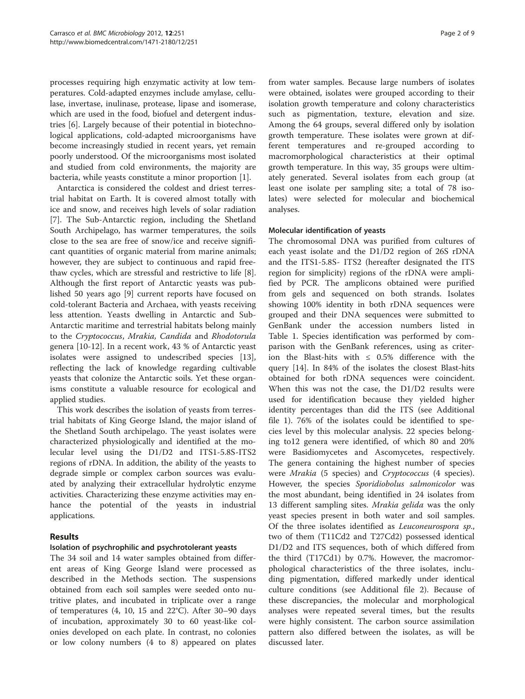processes requiring high enzymatic activity at low temperatures. Cold-adapted enzymes include amylase, cellulase, invertase, inulinase, protease, lipase and isomerase, which are used in the food, biofuel and detergent industries [[6\]](#page-7-0). Largely because of their potential in biotechnological applications, cold-adapted microorganisms have become increasingly studied in recent years, yet remain poorly understood. Of the microorganisms most isolated and studied from cold environments, the majority are bacteria, while yeasts constitute a minor proportion [[1\]](#page-7-0).

Antarctica is considered the coldest and driest terrestrial habitat on Earth. It is covered almost totally with ice and snow, and receives high levels of solar radiation [[7\]](#page-7-0). The Sub-Antarctic region, including the Shetland South Archipelago, has warmer temperatures, the soils close to the sea are free of snow/ice and receive significant quantities of organic material from marine animals; however, they are subject to continuous and rapid freethaw cycles, which are stressful and restrictive to life [\[8](#page-7-0)]. Although the first report of Antarctic yeasts was published 50 years ago [[9\]](#page-7-0) current reports have focused on cold-tolerant Bacteria and Archaea, with yeasts receiving less attention. Yeasts dwelling in Antarctic and Sub-Antarctic maritime and terrestrial habitats belong mainly to the Cryptococcus, Mrakia, Candida and Rhodotorula genera [[10-12](#page-7-0)]. In a recent work, 43 % of Antarctic yeast isolates were assigned to undescribed species [\[13](#page-7-0)], reflecting the lack of knowledge regarding cultivable yeasts that colonize the Antarctic soils. Yet these organisms constitute a valuable resource for ecological and applied studies.

This work describes the isolation of yeasts from terrestrial habitats of King George Island, the major island of the Shetland South archipelago. The yeast isolates were characterized physiologically and identified at the molecular level using the D1/D2 and ITS1-5.8S-ITS2 regions of rDNA. In addition, the ability of the yeasts to degrade simple or complex carbon sources was evaluated by analyzing their extracellular hydrolytic enzyme activities. Characterizing these enzyme activities may enhance the potential of the yeasts in industrial applications.

## Results

#### Isolation of psychrophilic and psychrotolerant yeasts

The 34 soil and 14 water samples obtained from different areas of King George Island were processed as described in the Methods section. The suspensions obtained from each soil samples were seeded onto nutritive plates, and incubated in triplicate over a range of temperatures (4, 10, 15 and 22°C). After 30–90 days of incubation, approximately 30 to 60 yeast-like colonies developed on each plate. In contrast, no colonies or low colony numbers (4 to 8) appeared on plates

from water samples. Because large numbers of isolates were obtained, isolates were grouped according to their isolation growth temperature and colony characteristics such as pigmentation, texture, elevation and size. Among the 64 groups, several differed only by isolation growth temperature. These isolates were grown at different temperatures and re-grouped according to macromorphological characteristics at their optimal growth temperature. In this way, 35 groups were ultimately generated. Several isolates from each group (at least one isolate per sampling site; a total of 78 isolates) were selected for molecular and biochemical analyses.

#### Molecular identification of yeasts

The chromosomal DNA was purified from cultures of each yeast isolate and the D1/D2 region of 26S rDNA and the ITS1-5.8S- ITS2 (hereafter designated the ITS region for simplicity) regions of the rDNA were amplified by PCR. The amplicons obtained were purified from gels and sequenced on both strands. Isolates showing 100% identity in both rDNA sequences were grouped and their DNA sequences were submitted to GenBank under the accession numbers listed in Table [1](#page-2-0). Species identification was performed by comparison with the GenBank references, using as criterion the Blast-hits with ≤ 0.5% difference with the query [\[14\]](#page-7-0). In 84% of the isolates the closest Blast-hits obtained for both rDNA sequences were coincident. When this was not the case, the D1/D2 results were used for identification because they yielded higher identity percentages than did the ITS (see [Additional](#page-7-0) [file 1\)](#page-7-0). 76% of the isolates could be identified to species level by this molecular analysis. 22 species belonging to12 genera were identified, of which 80 and 20% were Basidiomycetes and Ascomycetes, respectively. The genera containing the highest number of species were Mrakia (5 species) and Cryptococcus (4 species). However, the species Sporidiobolus salmonicolor was the most abundant, being identified in 24 isolates from 13 different sampling sites. Mrakia gelida was the only yeast species present in both water and soil samples. Of the three isolates identified as Leuconeurospora sp., two of them (T11Cd2 and T27Cd2) possessed identical D1/D2 and ITS sequences, both of which differed from the third (T17Cd1) by 0.7%. However, the macromorphological characteristics of the three isolates, including pigmentation, differed markedly under identical culture conditions (see [Additional file 2](#page-7-0)). Because of these discrepancies, the molecular and morphological analyses were repeated several times, but the results were highly consistent. The carbon source assimilation pattern also differed between the isolates, as will be discussed later.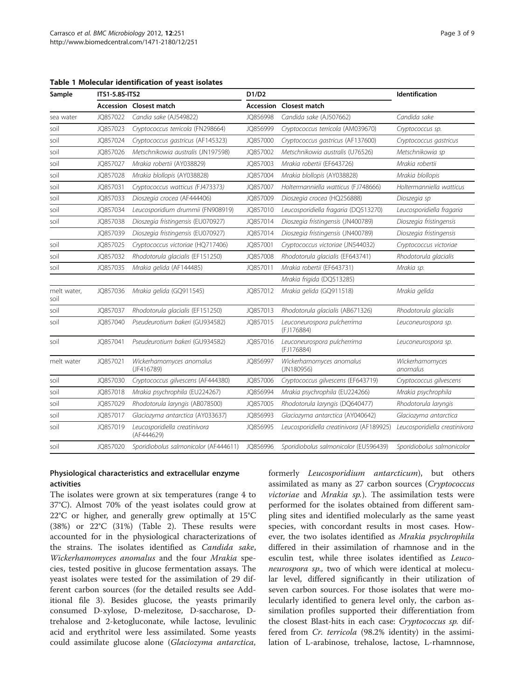| Sample              | ITS1-5.8S-ITS2 |                                             | D1/D2            |                                           | Identification                |  |
|---------------------|----------------|---------------------------------------------|------------------|-------------------------------------------|-------------------------------|--|
|                     | Accession      | Closest match                               | <b>Accession</b> | Closest match                             |                               |  |
| sea water           | JO857022       | Candia sake (AJ549822)                      | JO856998         | Candida sake (AJ507662)                   | Candida sake                  |  |
| soil                | JQ857023       | Cryptococcus terricola (FN298664)           | JQ856999         | Cryptococcus terricola (AM039670)         | Cryptococcus sp.              |  |
| soil                | JQ857024       | Cryptococcus gastricus (AF145323)           | JQ857000         | Cryptococcus gastricus (AF137600)         | Cryptococcus gastricus        |  |
| soil                | JO857026       | Metschnikowia australis (JN197598)          | JO857002         | Metschnikowia australis (U76526)          | Metschnikowia sp              |  |
| soil                | JQ857027       | Mrakia robertii (AY038829)                  | JQ857003         | Mrakia robertii (EF643726)                | Mrakia robertii               |  |
| soil                | JQ857028       | Mrakia blollopis (AY038828)                 | JQ857004         | Mrakia blollopis (AY038828)               | Mrakia blollopis              |  |
| soil                | JQ857031       | Cryptococcus watticus (FJ473373)            | JQ857007         | Holtermanniella watticus (FJ748666)       | Holtermanniella watticus      |  |
| soil                | JQ857033       | Dioszegia crocea (AF444406)                 | JQ857009         | Dioszegia crocea (HQ256888)               | Dioszegia sp                  |  |
| soil                | JQ857034       | Leucosporidium drummii (FN908919)           | JQ857010         | Leucosporidiella fragaria (DQ513270)      | Leucosporidiella fragaria     |  |
| soil                | JQ857038       | Dioszegia fristingensis (EU070927)          | JQ857014         | Dioszegia fristingensis (JN400789)        | Dioszegia fristingensis       |  |
|                     | JQ857039       | Dioszegia fristingensis (EU070927)          | JQ857014         | Dioszegia fristingensis (JN400789)        | Dioszegia fristingensis       |  |
| soil                | JQ857025       | Cryptococcus victoriae (HQ717406)           | JQ857001         | Cryptococcus victoriae (JN544032)         | Cryptococcus victoriae        |  |
| soil                | JQ857032       | Rhodotorula glacialis (EF151250)            | JQ857008         | Rhodotorula glacialis (EF643741)          | Rhodotorula glacialis         |  |
| soil                | JQ857035       | Mrakia gelida (AF144485)                    | JQ857011         | Mrakia robertii (EF643731)                | Mrakia sp.                    |  |
|                     |                |                                             |                  | Mrakia frigida (DQ513285)                 |                               |  |
| melt water,<br>soil | JQ857036       | Mrakia gelida (GQ911545)                    | JQ857012         | Mrakia gelida (GQ911518)                  | Mrakia gelida                 |  |
| soil                | JQ857037       | Rhodotorula glacialis (EF151250)            | JQ857013         | Rhodotorula glacialis (AB671326)          | Rhodotorula glacialis         |  |
| soil                | JQ857040       | Pseudeurotium bakeri (GU934582)             | JQ857015         | Leuconeurospora pulcherrima<br>(FJ176884) | Leuconeurospora sp.           |  |
| soil                | JQ857041       | Pseudeurotium bakeri (GU934582)             | JQ857016         | Leuconeurospora pulcherrima<br>(FJ176884) | Leuconeurospora sp.           |  |
| melt water          | JQ857021       | Wickerhamomyces anomalus<br>(JF416789)      | JQ856997         | Wickerhamomyces anomalus<br>( JN180956)   | Wickerhamomyces<br>anomalus   |  |
| soil                | JQ857030       | Cryptococcus gilvescens (AF444380)          | JQ857006         | Cryptococcus gilvescens (EF643719)        | Cryptococcus gilvescens       |  |
| soil                | JQ857018       | Mrakia psychrophila (EU224267)              | JQ856994         | Mrakia psychrophila (EU224266)            | Mrakia psychrophila           |  |
| soil                | JQ857029       | Rhodotorula laryngis (AB078500)             | JQ857005         | Rhodotorula laryngis (DQ640477)           | Rhodotorula laryngis          |  |
| soil                | JQ857017       | Glaciozyma antarctica (AY033637)            | JQ856993         | Glaciozyma antarctica (AY040642)          | Glaciozyma antarctica         |  |
| soil                | JQ857019       | Leucosporidiella creatinivora<br>(AF444629) | JQ856995         | Leucosporidiella creatinivora (AF189925)  | Leucosporidiella creatinivora |  |
| soil                | JO857020       | Sporidiobolus salmonicolor (AF444611)       | JQ856996         | Sporidiobolus salmonicolor (EU596439)     | Sporidiobolus salmonicolor    |  |

<span id="page-2-0"></span>Table 1 Molecular identification of yeast isolates

## Physiological characteristics and extracellular enzyme activities

The isolates were grown at six temperatures (range 4 to 37°C). Almost 70% of the yeast isolates could grow at 22°C or higher, and generally grew optimally at 15°C (38%) or 22°C (31%) (Table [2\)](#page-3-0). These results were accounted for in the physiological characterizations of the strains. The isolates identified as Candida sake, Wickerhamomyces anomalus and the four Mrakia species, tested positive in glucose fermentation assays. The yeast isolates were tested for the assimilation of 29 different carbon sources (for the detailed results see [Add](#page-7-0)[itional file 3\)](#page-7-0). Besides glucose, the yeasts primarily consumed D-xylose, D-melezitose, D-saccharose, Dtrehalose and 2-ketogluconate, while lactose, levulinic acid and erythritol were less assimilated. Some yeasts could assimilate glucose alone (Glaciozyma antarctica,

formerly Leucosporidium antarcticum), but others assimilated as many as 27 carbon sources (Cryptococcus victoriae and Mrakia sp.). The assimilation tests were performed for the isolates obtained from different sampling sites and identified molecularly as the same yeast species, with concordant results in most cases. However, the two isolates identified as Mrakia psychrophila differed in their assimilation of rhamnose and in the esculin test, while three isolates identified as Leuconeurospora sp., two of which were identical at molecular level, differed significantly in their utilization of seven carbon sources. For those isolates that were molecularly identified to genera level only, the carbon assimilation profiles supported their differentiation from the closest Blast-hits in each case: Cryptococcus sp. differed from Cr. terricola (98.2% identity) in the assimilation of L-arabinose, trehalose, lactose, L-rhamnnose,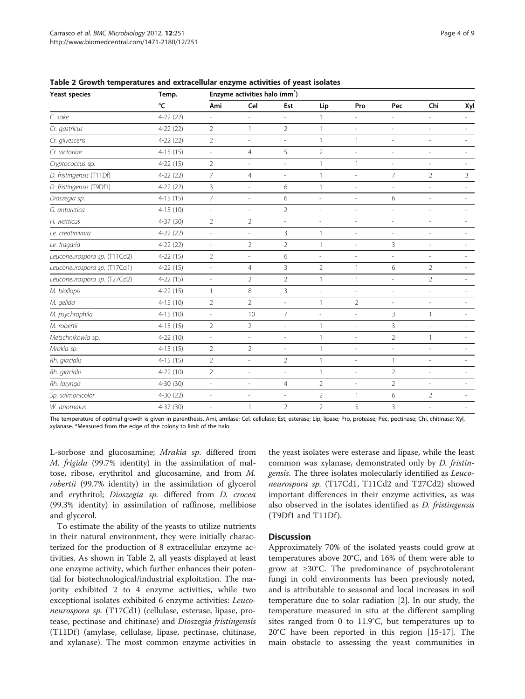| <b>Yeast species</b>         | Temp.      | Enzyme activities halo (mm <sup>*</sup> ) |                          |                          |                |                          |                          |                          |                          |
|------------------------------|------------|-------------------------------------------|--------------------------|--------------------------|----------------|--------------------------|--------------------------|--------------------------|--------------------------|
|                              | °C         | Ami                                       | Cel                      | Est                      | Lip            | Pro                      | Pec                      | Chi                      | Xyl                      |
| C. sake                      | $4-22(22)$ | $\overline{\phantom{a}}$                  | $\overline{\phantom{a}}$ | $\bar{a}$                | 1              |                          | ä,                       | $\overline{a}$           | $\overline{\phantom{a}}$ |
| Cr. gastricus                | $4-22(22)$ | $\overline{2}$                            | $\mathbf{1}$             | $\overline{2}$           | $\overline{1}$ | L,                       | $\overline{\phantom{a}}$ | ÷,                       |                          |
| Cr. gilvescens               | $4-22(22)$ | $\overline{2}$                            | $\overline{\phantom{a}}$ | $\overline{\phantom{a}}$ | $\mathbf{1}$   | $\mathbf{1}$             | $\overline{\phantom{a}}$ | $\overline{\phantom{a}}$ |                          |
| Cr. victoriae                | $4-15(15)$ | $\overline{\phantom{a}}$                  | $\overline{4}$           | 5                        | $\overline{2}$ | L,                       | $\overline{\phantom{a}}$ | $\overline{\phantom{a}}$ |                          |
| Cryptococcus sp.             | $4-22(15)$ | $\overline{2}$                            | i,                       | $\overline{\phantom{a}}$ | $\overline{1}$ | $\mathbf{1}$             | $\overline{a}$           | L,                       |                          |
| D. fristingensis (T11Df)     | $4-22(22)$ | $\overline{7}$                            | $\overline{4}$           | $\overline{\phantom{a}}$ | $\mathbf{1}$   | $\overline{\phantom{a}}$ | 7                        | $\overline{2}$           | 3                        |
| D. fristingensis (T9Df1)     | $4-22(22)$ | 3                                         | $\overline{\phantom{a}}$ | 6                        | $\mathbf{1}$   | L.                       | $\overline{\phantom{a}}$ | $\overline{\phantom{a}}$ |                          |
| Dioszegia sp.                | $4-15(15)$ | $7\overline{ }$                           | $\overline{\phantom{a}}$ | 6                        | $\overline{a}$ | $\overline{\phantom{a}}$ | 6                        | $\overline{a}$           |                          |
| G. antarctica                | $4-15(10)$ | $\overline{\phantom{a}}$                  | $\overline{\phantom{a}}$ | $\overline{2}$           | $\overline{a}$ | $\overline{\phantom{a}}$ | $\overline{\phantom{a}}$ | $\overline{\phantom{a}}$ | ٠                        |
| H. watticus                  | $4-37(30)$ | $\overline{2}$                            | $\overline{2}$           | $\overline{a}$           | ÷,             | L,                       | $\overline{\phantom{a}}$ | $\overline{\phantom{a}}$ |                          |
| Le. creatinivora             | $4-22(22)$ | $\overline{\phantom{a}}$                  | $\overline{\phantom{a}}$ | 3                        | $\overline{1}$ | $\overline{\phantom{a}}$ | $\overline{a}$           | $\overline{a}$           |                          |
| Le. fragaria                 | $4-22(22)$ | $\overline{\phantom{a}}$                  | $\overline{2}$           | $\overline{2}$           | $\mathbf{1}$   | $\overline{\phantom{0}}$ | 3                        | $\overline{\phantom{a}}$ |                          |
| Leuconeurospora sp. (T11Cd2) | $4-22(15)$ | $\overline{2}$                            | $\overline{\phantom{a}}$ | 6                        | ÷,             | ÷,                       | $\overline{\phantom{a}}$ | $\overline{a}$           |                          |
| Leuconeurospora sp. (T17Cd1) | $4-22(15)$ | $\overline{\phantom{a}}$                  | $\overline{4}$           | $\overline{3}$           | $\overline{2}$ | $\mathbf{1}$             | 6                        | $\overline{2}$           |                          |
| Leuconeurospora sp. (T27Cd2) | $4-22(15)$ | $\overline{\phantom{a}}$                  | $\overline{2}$           | $\overline{2}$           | $\mathbf{1}$   | $\mathbf{1}$             | $\overline{\phantom{a}}$ | $\overline{2}$           | ٠                        |
| M. blollopis                 | $4-22(15)$ | $\mathbf{1}$                              | 8                        | 3                        | ÷,             | $\overline{\phantom{a}}$ | L.                       | $\overline{a}$           |                          |
| M. gelida                    | $4-15(10)$ | $\overline{2}$                            | $\overline{2}$           | $\sim$                   | $\mathbf{1}$   | $\overline{2}$           | $\overline{\phantom{a}}$ | $\overline{\phantom{a}}$ |                          |
| M. psychrophila              | $4-15(10)$ | $\overline{\phantom{a}}$                  | 10                       | $7\overline{ }$          | ÷,             | $\overline{\phantom{a}}$ | 3                        | 1                        |                          |
| M. robertii                  | $4-15(15)$ | $\overline{2}$                            | $\overline{2}$           | $\sim$                   | $\mathbf{1}$   | $\overline{\phantom{a}}$ | 3                        | $\overline{a}$           |                          |
| Metschnikowia sp.            | $4-22(10)$ | $\frac{1}{2}$                             | $\frac{1}{2}$            | $\overline{\phantom{a}}$ | $\mathbf{1}$   | $\overline{\phantom{0}}$ | $\overline{2}$           | $\mathbf{1}$             |                          |
| Mrakia sp.                   | $4-15(15)$ | $\overline{2}$                            | $\overline{2}$           | $\overline{\phantom{a}}$ | $\mathbf{1}$   | $\overline{\phantom{a}}$ | $\overline{\phantom{a}}$ | $\overline{\phantom{a}}$ |                          |
| Rh. glacialis                | $4-15(15)$ | $\overline{2}$                            | $\overline{\phantom{a}}$ | $\overline{2}$           | $\mathbf{1}$   | ÷,                       | 1                        | L,                       |                          |
| Rh. glacialis                | $4-22(10)$ | $\overline{2}$                            | $\frac{1}{2}$            | $\sim$                   | $\mathbf{1}$   | $\overline{\phantom{a}}$ | $\overline{2}$           | $\overline{\phantom{a}}$ |                          |
| Rh. laryngis                 | $4-30(30)$ | $\overline{\phantom{a}}$                  | $\frac{1}{2}$            | $\overline{4}$           | $\overline{2}$ | L,                       | $\overline{2}$           | $\overline{\phantom{a}}$ |                          |
| Sp. salmonicolor             | $4-30(22)$ | $\overline{a}$                            | $\overline{\phantom{a}}$ | $\overline{\phantom{a}}$ | $\overline{2}$ | $\mathbf{1}$             | 6                        | $\overline{2}$           |                          |
| W. anomalus                  | 4-37 (30)  | $\overline{\phantom{a}}$                  | $\mathbf{1}$             | $\overline{2}$           | $\overline{2}$ | 5                        | 3                        | $\overline{a}$           |                          |

<span id="page-3-0"></span>Table 2 Growth temperatures and extracellular enzyme activities of yeast isolates

The temperature of optimal growth is given in parenthesis. Ami, amilase; Cel, cellulase; Est, esterase; Lip, lipase; Pro, protease; Pec, pectinase; Chi, chitinase; Xyl, xylanase. \*Measured from the edge of the colony to limit of the halo.

L-sorbose and glucosamine; Mrakia sp. differed from M. frigida (99.7% identity) in the assimilation of maltose, ribose, erythritol and glucosamine, and from M. robertii (99.7% identity) in the assimilation of glycerol and erythritol; Dioszegia sp. differed from D. crocea (99.3% identity) in assimilation of raffinose, mellibiose and glycerol.

To estimate the ability of the yeasts to utilize nutrients in their natural environment, they were initially characterized for the production of 8 extracellular enzyme activities. As shown in Table 2, all yeasts displayed at least one enzyme activity, which further enhances their potential for biotechnological/industrial exploitation. The majority exhibited 2 to 4 enzyme activities, while two exceptional isolates exhibited 6 enzyme activities: Leuconeurospora sp. (T17Cd1) (cellulase, esterase, lipase, protease, pectinase and chitinase) and Dioszegia fristingensis (T11Df) (amylase, cellulase, lipase, pectinase, chitinase, and xylanase). The most common enzyme activities in

the yeast isolates were esterase and lipase, while the least common was xylanase, demonstrated only by D. fristingensis. The three isolates molecularly identified as Leuconeurospora sp. (T17Cd1, T11Cd2 and T27Cd2) showed important differences in their enzyme activities, as was also observed in the isolates identified as *D. fristingensis*  $(T9Df1$  and  $T11Df$ ).

#### **Discussion**

Approximately 70% of the isolated yeasts could grow at temperatures above 20°C, and 16% of them were able to grow at ≥30°C. The predominance of psychrotolerant fungi in cold environments has been previously noted, and is attributable to seasonal and local increases in soil temperature due to solar radiation [[2\]](#page-7-0). In our study, the temperature measured in situ at the different sampling sites ranged from 0 to 11.9°C, but temperatures up to 20°C have been reported in this region [\[15](#page-7-0)-[17](#page-7-0)]. The main obstacle to assessing the yeast communities in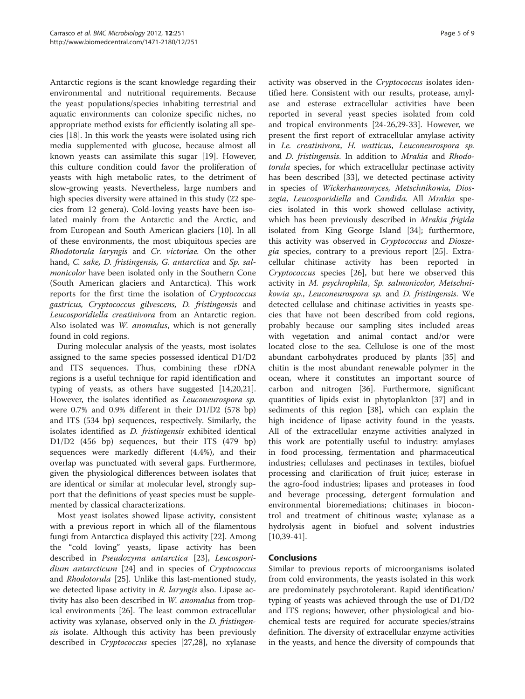Antarctic regions is the scant knowledge regarding their environmental and nutritional requirements. Because the yeast populations/species inhabiting terrestrial and aquatic environments can colonize specific niches, no appropriate method exists for efficiently isolating all species [\[18\]](#page-7-0). In this work the yeasts were isolated using rich media supplemented with glucose, because almost all known yeasts can assimilate this sugar [\[19](#page-7-0)]. However, this culture condition could favor the proliferation of yeasts with high metabolic rates, to the detriment of slow-growing yeasts. Nevertheless, large numbers and high species diversity were attained in this study (22 species from 12 genera). Cold-loving yeasts have been isolated mainly from the Antarctic and the Arctic, and from European and South American glaciers [[10\]](#page-7-0). In all of these environments, the most ubiquitous species are Rhodotorula laryngis and Cr. victoriae. On the other hand, C. sake, D. fristingensis, G. antarctica and Sp. salmonicolor have been isolated only in the Southern Cone (South American glaciers and Antarctica). This work reports for the first time the isolation of Cryptococcus gastricus, Cryptococcus gilvescens, D. fristingensis and Leucosporidiella creatinivora from an Antarctic region. Also isolated was W. anomalus, which is not generally found in cold regions.

During molecular analysis of the yeasts, most isolates assigned to the same species possessed identical D1/D2 and ITS sequences. Thus, combining these rDNA regions is a useful technique for rapid identification and typing of yeasts, as others have suggested [\[14,20](#page-7-0)[,21](#page-8-0)]. However, the isolates identified as Leuconeurospora sp. were 0.7% and 0.9% different in their D1/D2 (578 bp) and ITS (534 bp) sequences, respectively. Similarly, the isolates identified as D. fristingensis exhibited identical D1/D2 (456 bp) sequences, but their ITS (479 bp) sequences were markedly different (4.4%), and their overlap was punctuated with several gaps. Furthermore, given the physiological differences between isolates that are identical or similar at molecular level, strongly support that the definitions of yeast species must be supplemented by classical characterizations.

Most yeast isolates showed lipase activity, consistent with a previous report in which all of the filamentous fungi from Antarctica displayed this activity [\[22](#page-8-0)]. Among the "cold loving" yeasts, lipase activity has been described in Pseudozyma antarctica [[23\]](#page-8-0), Leucosporidium antarcticum [[24\]](#page-8-0) and in species of Cryptococcus and Rhodotorula [[25\]](#page-8-0). Unlike this last-mentioned study, we detected lipase activity in R. laryngis also. Lipase activity has also been described in W. anomalus from tropical environments [[26\]](#page-8-0). The least common extracellular activity was xylanase, observed only in the D. fristingensis isolate. Although this activity has been previously described in Cryptococcus species [[27,28](#page-8-0)], no xylanase

activity was observed in the Cryptococcus isolates identified here. Consistent with our results, protease, amylase and esterase extracellular activities have been reported in several yeast species isolated from cold and tropical environments [\[24](#page-8-0)-[26](#page-8-0),[29-33\]](#page-8-0). However, we present the first report of extracellular amylase activity in Le. creatinivora, H. watticus, Leuconeurospora sp. and D. fristingensis. In addition to Mrakia and Rhodotorula species, for which extracellular pectinase activity has been described [[33\]](#page-8-0), we detected pectinase activity in species of Wickerhamomyces, Metschnikowia, Dioszegia, Leucosporidiella and Candida. All Mrakia species isolated in this work showed cellulase activity, which has been previously described in Mrakia frigida isolated from King George Island [[34\]](#page-8-0); furthermore, this activity was observed in Cryptococcus and Dioszegia species, contrary to a previous report [\[25](#page-8-0)]. Extracellular chitinase activity has been reported in Cryptococcus species [[26\]](#page-8-0), but here we observed this activity in M. psychrophila, Sp. salmonicolor, Metschnikowia sp., Leuconeurospora sp. and D. fristingensis. We detected cellulase and chitinase activities in yeasts species that have not been described from cold regions, probably because our sampling sites included areas with vegetation and animal contact and/or were located close to the sea. Cellulose is one of the most abundant carbohydrates produced by plants [[35\]](#page-8-0) and chitin is the most abundant renewable polymer in the ocean, where it constitutes an important source of carbon and nitrogen [[36](#page-8-0)]. Furthermore, significant quantities of lipids exist in phytoplankton [[37\]](#page-8-0) and in sediments of this region [\[38\]](#page-8-0), which can explain the high incidence of lipase activity found in the yeasts. All of the extracellular enzyme activities analyzed in this work are potentially useful to industry: amylases in food processing, fermentation and pharmaceutical industries; cellulases and pectinases in textiles, biofuel processing and clarification of fruit juice; esterase in the agro-food industries; lipases and proteases in food and beverage processing, detergent formulation and environmental bioremediations; chitinases in biocontrol and treatment of chitinous waste; xylanase as a hydrolysis agent in biofuel and solvent industries  $[10,39-41]$  $[10,39-41]$  $[10,39-41]$  $[10,39-41]$ .

#### Conclusions

Similar to previous reports of microorganisms isolated from cold environments, the yeasts isolated in this work are predominately psychrotolerant. Rapid identification/ typing of yeasts was achieved through the use of D1/D2 and ITS regions; however, other physiological and biochemical tests are required for accurate species/strains definition. The diversity of extracellular enzyme activities in the yeasts, and hence the diversity of compounds that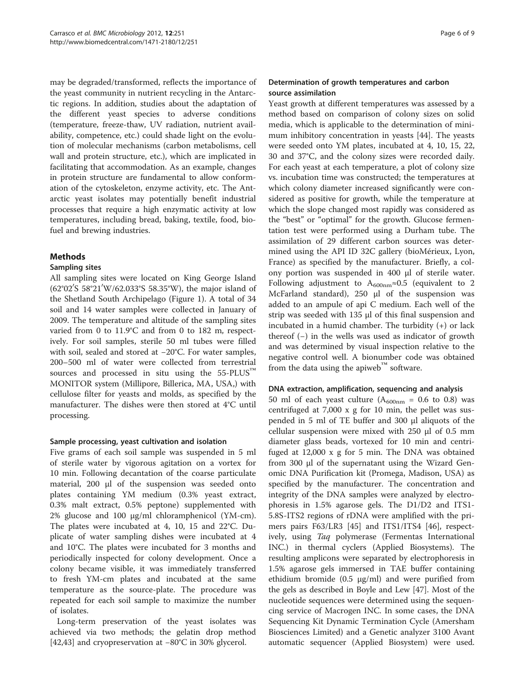may be degraded/transformed, reflects the importance of the yeast community in nutrient recycling in the Antarctic regions. In addition, studies about the adaptation of the different yeast species to adverse conditions (temperature, freeze-thaw, UV radiation, nutrient availability, competence, etc.) could shade light on the evolution of molecular mechanisms (carbon metabolisms, cell wall and protein structure, etc.), which are implicated in facilitating that accommodation. As an example, changes in protein structure are fundamental to allow conformation of the cytoskeleton, enzyme activity, etc. The Antarctic yeast isolates may potentially benefit industrial processes that require a high enzymatic activity at low temperatures, including bread, baking, textile, food, biofuel and brewing industries.

## Methods

#### Sampling sites

All sampling sites were located on King George Island (62°02′S 58°21′W/62.033°S 58.35°W), the major island of the Shetland South Archipelago (Figure [1\)](#page-6-0). A total of 34 soil and 14 water samples were collected in January of 2009. The temperature and altitude of the sampling sites varied from 0 to 11.9°C and from 0 to 182 m, respectively. For soil samples, sterile 50 ml tubes were filled with soil, sealed and stored at −20°C. For water samples, 200–500 ml of water were collected from terrestrial sources and processed in situ using the 55-PLUS<sup>™</sup> MONITOR system (Millipore, Billerica, MA, USA,) with cellulose filter for yeasts and molds, as specified by the manufacturer. The dishes were then stored at 4°C until processing.

#### Sample processing, yeast cultivation and isolation

Five grams of each soil sample was suspended in 5 ml of sterile water by vigorous agitation on a vortex for 10 min. Following decantation of the coarse particulate material, 200 μl of the suspension was seeded onto plates containing YM medium (0.3% yeast extract, 0.3% malt extract, 0.5% peptone) supplemented with 2% glucose and 100 μg/ml chloramphenicol (YM-cm). The plates were incubated at 4, 10, 15 and 22°C. Duplicate of water sampling dishes were incubated at 4 and 10°C. The plates were incubated for 3 months and periodically inspected for colony development. Once a colony became visible, it was immediately transferred to fresh YM-cm plates and incubated at the same temperature as the source-plate. The procedure was repeated for each soil sample to maximize the number of isolates.

Long-term preservation of the yeast isolates was achieved via two methods; the gelatin drop method [[42,43\]](#page-8-0) and cryopreservation at −80°C in 30% glycerol.

## Determination of growth temperatures and carbon source assimilation

Yeast growth at different temperatures was assessed by a method based on comparison of colony sizes on solid media, which is applicable to the determination of minimum inhibitory concentration in yeasts [\[44\]](#page-8-0). The yeasts were seeded onto YM plates, incubated at 4, 10, 15, 22, 30 and 37°C, and the colony sizes were recorded daily. For each yeast at each temperature, a plot of colony size vs. incubation time was constructed; the temperatures at which colony diameter increased significantly were considered as positive for growth, while the temperature at which the slope changed most rapidly was considered as the "best" or "optimal" for the growth. Glucose fermentation test were performed using a Durham tube. The assimilation of 29 different carbon sources was determined using the API ID 32C gallery (bioMérieux, Lyon, France) as specified by the manufacturer. Briefly, a colony portion was suspended in 400 μl of sterile water. Following adjustment to A<sub>600nm</sub>≈0.5 (equivalent to 2 McFarland standard), 250 μl of the suspension was added to an ampule of api C medium. Each well of the strip was seeded with 135 μl of this final suspension and incubated in a humid chamber. The turbidity (+) or lack thereof (−) in the wells was used as indicator of growth and was determined by visual inspection relative to the negative control well. A bionumber code was obtained from the data using the apiweb™ software.

#### DNA extraction, amplification, sequencing and analysis

50 ml of each yeast culture  $(A_{600nm} = 0.6$  to 0.8) was centrifuged at 7,000 x g for 10 min, the pellet was suspended in 5 ml of TE buffer and 300 μl aliquots of the cellular suspension were mixed with 250 μl of 0.5 mm diameter glass beads, vortexed for 10 min and centrifuged at 12,000 x g for 5 min. The DNA was obtained from 300 μl of the supernatant using the Wizard Genomic DNA Purification kit (Promega, Madison, USA) as specified by the manufacturer. The concentration and integrity of the DNA samples were analyzed by electrophoresis in 1.5% agarose gels. The D1/D2 and ITS1- 5.8S-ITS2 regions of rDNA were amplified with the primers pairs F63/LR3 [\[45\]](#page-8-0) and ITS1/ITS4 [[46\]](#page-8-0), respectively, using Taq polymerase (Fermentas International INC.) in thermal cyclers (Applied Biosystems). The resulting amplicons were separated by electrophoresis in 1.5% agarose gels immersed in TAE buffer containing ethidium bromide  $(0.5 \text{ µg/ml})$  and were purified from the gels as described in Boyle and Lew [[47](#page-8-0)]. Most of the nucleotide sequences were determined using the sequencing service of Macrogen INC. In some cases, the DNA Sequencing Kit Dynamic Termination Cycle (Amersham Biosciences Limited) and a Genetic analyzer 3100 Avant automatic sequencer (Applied Biosystem) were used.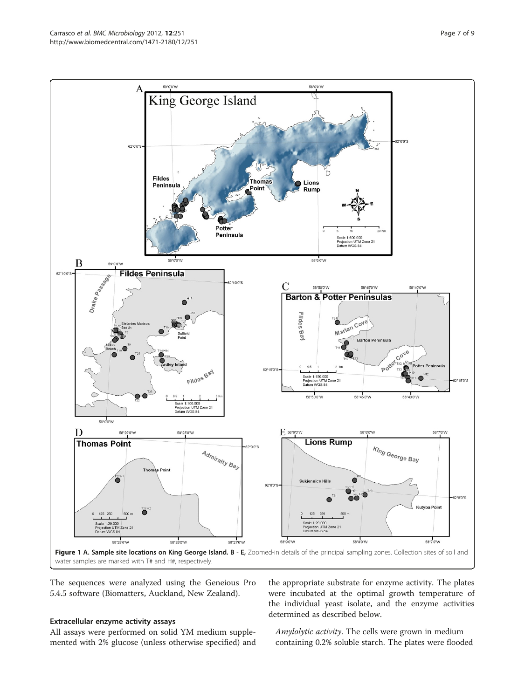<span id="page-6-0"></span>

The sequences were analyzed using the Geneious Pro 5.4.5 software (Biomatters, Auckland, New Zealand).

#### Extracellular enzyme activity assays

All assays were performed on solid YM medium supplemented with 2% glucose (unless otherwise specified) and

the appropriate substrate for enzyme activity. The plates were incubated at the optimal growth temperature of the individual yeast isolate, and the enzyme activities determined as described below.

Amylolytic activity. The cells were grown in medium containing 0.2% soluble starch. The plates were flooded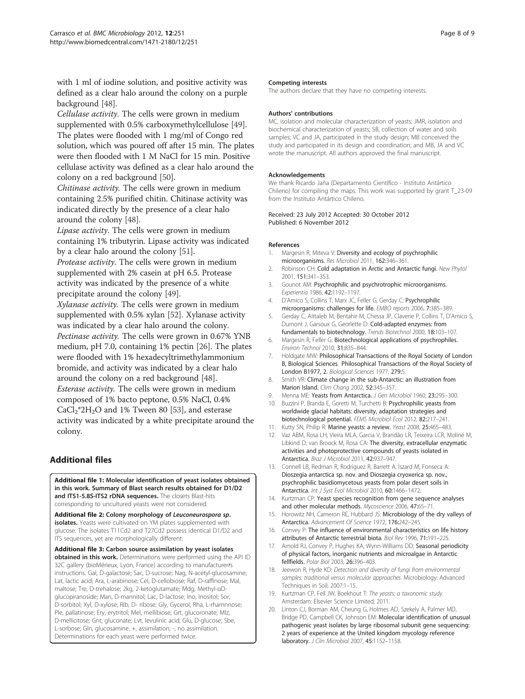<span id="page-7-0"></span>with 1 ml of iodine solution, and positive activity was defined as a clear halo around the colony on a purple background [\[48\]](#page-8-0).

Cellulase activity. The cells were grown in medium supplemented with 0.5% carboxymethylcellulose [\[49](#page-8-0)]. The plates were flooded with 1 mg/ml of Congo red solution, which was poured off after 15 min. The plates were then flooded with 1 M NaCl for 15 min. Positive cellulase activity was defined as a clear halo around the colony on a red background [\[50\]](#page-8-0).

Chitinase activity. The cells were grown in medium containing 2.5% purified chitin. Chitinase activity was indicated directly by the presence of a clear halo around the colony [[48](#page-8-0)].

Lipase activity. The cells were grown in medium containing 1% tributyrin. Lipase activity was indicated by a clear halo around the colony [\[51](#page-8-0)].

Protease activity. The cells were grown in medium supplemented with 2% casein at pH 6.5. Protease activity was indicated by the presence of a white precipitate around the colony [\[49\]](#page-8-0).

Xylanase activity. The cells were grown in medium supplemented with 0.5% xylan [\[52\]](#page-8-0). Xylanase activity was indicated by a clear halo around the colony. Pectinase activity. The cells were grown in 0.67% YNB medium, pH 7.0, containing 1% pectin [\[26\]](#page-8-0). The plates were flooded with 1% hexadecyltrimethylammonium bromide, and activity was indicated by a clear halo around the colony on a red background [[48](#page-8-0)]. Esterase activity. The cells were grown in medium composed of 1% bacto peptone, 0.5% NaCl, 0.4%  $CaCl<sub>2</sub><sup>*</sup>2H<sub>2</sub>O$  and 1% Tween 80 [\[53\]](#page-8-0), and esterase activity was indicated by a white precipitate around the colony.

## Additional files

[Additional file 1:](http://www.biomedcentral.com/content/supplementary/1471-2180-12-251-S1.pdf) Molecular identification of yeast isolates obtained in this work. Summary of Blast search results obtained for D1/D2 and ITS1-5.8S-ITS2 rDNA sequences. The closets Blast-hits corresponding to uncultured yeasts were not considered.

[Additional file 2:](http://www.biomedcentral.com/content/supplementary/1471-2180-12-251-S2.pdf) Colony morphology of Leuconeurospora sp. isolates. Yeasts were cultivated on YM plates supplemented with glucose. The isolates T11Cd2 and T27Cd2 possess identical D1/D2 and ITS sequences, yet are morphologically different.

[Additional file 3:](http://www.biomedcentral.com/content/supplementary/1471-2180-12-251-S3.pdf) Carbon source assimilation by yeast isolates obtained in this work. Determinations were performed using the API ID 32C gallery (bioMérieux, Lyon, France) according to manufacturer/s instructions. Gal, D-galactose; Sac, D-sucrose; Nag, N-acetyl-glucosamine; Lat, lactic acid; Ara, L-arabinose; Cel, D-cellobiose; Raf, D-raffinose; Mal, maltose; Tre, D-trehalose; 2kg, 2-ketoglutamate; Mdg, Methyl-αDglucopiranoside; Man, D-mannitol; Lac, D-lactose; Ino, Inositol; Sor, D-sorbitol; Xyl, D-xylose; Rib, D- ribose; Gly, Gycerol; Rha, L-rhamnnose; Ple, pallatinose; Ery, erytritol; Mel, mellibiose; Grt, glucoronate; Mlz, D-mellicitose; Gnt, gluconate; Lvt, levulinic acid; Glu, D-glucose; Sbe, L-sorbose; Gln, glucosamine. +, assimilation; -, no assimilation. Determinations for each yeast were performed twice.

#### Competing interests

The authors declare that they have no competing interests.

#### Authors' contributions

MC, isolation and molecular characterization of yeasts; JMR, isolation and biochemical characterization of yeasts; SB, collection of water and soils samples; VC and JA, participated in the study design; MB conceived the study and participated in its design and coordination; and MB, JA and VC wrote the manuscript. All authors approved the final manuscript.

#### Acknowledgements

We thank Ricardo Jaña (Departamento Científico - Instituto Antártico Chileno) for compiling the maps. This work was supported by grant T\_23-09 from the Instituto Antártico Chileno.

#### Received: 23 July 2012 Accepted: 30 October 2012 Published: 6 November 2012

#### References

- 1. Margesin R, Miteva V: Diversity and ecology of psychrophilic microorganisms. Res Microbiol 2011, 162:346–361.
- Robinson CH: Cold adaptation in Arctic and Antarctic fungi. New Phytol 2001, 151:341–353.
- Gounot AM: Psychrophilic and psychrotrophic microorganisms. Experientia 1986, 42:1192–1197.
- 4. D'Amico S, Collins T, Marx JC, Feller G, Gerday C: Psychrophilic microorganisms: challenges for life. EMBO reports 2006, 7:385–389.
- 5. Gerday C, Aittaleb M, Bentahir M, Chessa JP, Claverie P, Collins T, D'Amico S, Dumont J, Garsoux G, Georlette D: Cold-adapted enzymes: from fundamentals to biotechnology. Trends Biotechnol 2000, 18:103–107.
- 6. Margesin R, Feller G: Biotechnological applications of psychrophiles. Environ Technol 2010, 31:835–844.
- 7. Holdgate MW: Philosophical Transactions of the Royal Society of London B, Biological Sciences Philosophical Transactions of the Royal Society of London B1977, 2. Biological Sciences 1977, 279:5.
- 8. Smith VR: Climate change in the sub-Antarctic: an illustration from Marion Island. Clim Chang 2002, 52:345–357.
- 9. Menna ME: Yeasts from Antarctica. J Gen Microbiol 1960, 23:295-300.
- 10. Buzzini P, Branda E, Goretti M, Turchetti B: Psychrophilic yeasts from worldwide glacial habitats: diversity, adaptation strategies and biotechnological potential. FEMS Microbiol Ecol 2012, 82:217–241.
- 11. Kutty SN, Philip R: Marine yeasts: a review. Yeast 2008, 25:465-483.
- 12. Vaz ABM, Rosa LH, Vieira MLA, Garcia V, Brandão LR, Teixeira LCR, Moliné M, Libkind D, van Broock M, Rosa CA: The diversity, extracellular enzymatic activities and photoprotective compounds of yeasts isolated in Antarctica. Braz J Microbiol 2011, 42:937–947.
- 13. Connell LB, Redman R, Rodriguez R, Barrett A, Iszard M, Fonseca A: Dioszegia antarctica sp. nov. and Dioszegia cryoxerica sp. nov., psychrophilic basidiomycetous yeasts from polar desert soils in Antarctica. Int J Syst Evol Microbiol 2010, 60:1466–1472.
- 14. Kurtzman CP: Yeast species recognition from gene sequence analyses and other molecular methods. Mycoscience 2006, 47:65–71.
- 15. Horowitz NH, Cameron RE, Hubbard JS: Microbiology of the dry valleys of Antarctica. Advancement Of Science 1972, 176:242–245.
- 16. Convey P: The influence of environmental characteristics on life history attributes of Antarctic terrestrial biota. Biol Rev 1996, 71:191–225.
- 17. Arnold RJ, Convey P, Hughes KA, Wynn-Williams DD: Seasonal periodicity of physical factors, inorganic nutrients and microalgae in Antarctic fellfields. Polar Biol 2003, 26:396–403.
- 18. Jeewon R, Hyde KD: Detection and diversity of fungi from environmental samples: traditional versus molecular approaches. Microbiology: Advanced Techniques in Soil; 2007:1–15.
- 19. Kurtzman CP, Fell JW, Boekhout T: The yeasts: a taxonomic study. Amsterdam: Elsevier Science Limited; 2011.
- 20. Linton CJ, Borman AM, Cheung G, Holmes AD, Szekely A, Palmer MD, Bridge PD, Campbell CK, Johnson EM: Molecular identification of unusual pathogenic yeast isolates by large ribosomal subunit gene sequencing: 2 years of experience at the United kingdom mycology reference laboratory. J Clin Microbiol 2007, 45:1152–1158.